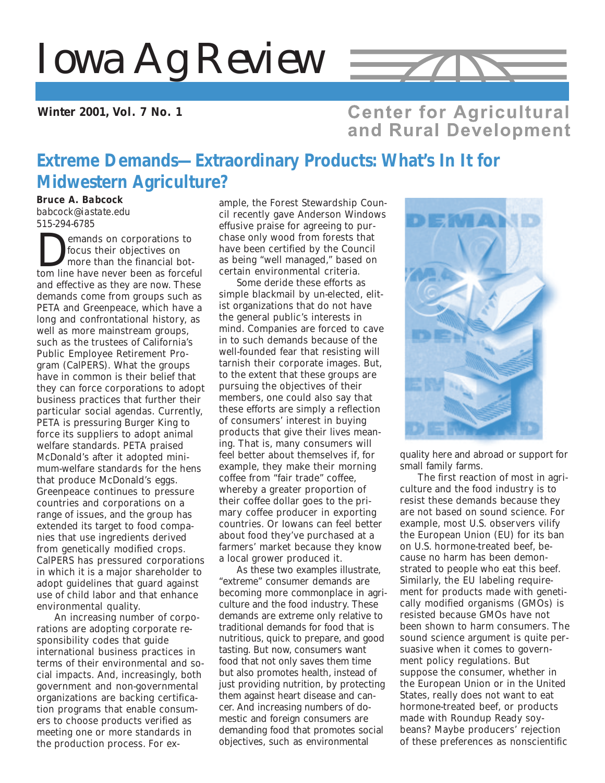# *Iowa Ag Review*

**Winter 2001, Vol. 7 No. 1**

# **Center for Agricultural** and Rural Development

 $\rightarrow$ 

# **Extreme Demands—Extraordinary Products: What's In It for Midwestern Agriculture?**

*Bruce A. Babcock*

*babcock@iastate.edu 515-294-6785*

**Demands on corporations to**<br>focus their objectives on<br>more than the financial bot-<br>tom line have never been as forceful focus their objectives on more than the financial botand effective as they are now. These demands come from groups such as PETA and Greenpeace, which have a long and confrontational history, as well as more mainstream groups, such as the trustees of California's Public Employee Retirement Program (CalPERS). What the groups have in common is their belief that they can force corporations to adopt business practices that further their particular social agendas. Currently, PETA is pressuring Burger King to force its suppliers to adopt animal welfare standards. PETA praised McDonald's after it adopted minimum-welfare standards for the hens that produce McDonald's eggs. Greenpeace continues to pressure countries and corporations on a range of issues, and the group has extended its target to food companies that use ingredients derived from genetically modified crops. CalPERS has pressured corporations in which it is a major shareholder to adopt guidelines that guard against use of child labor and that enhance environmental quality.

An increasing number of corporations are adopting corporate responsibility codes that guide international business practices in terms of their environmental and social impacts. And, increasingly, both government and non-governmental organizations are backing certification programs that enable consumers to choose products verified as meeting one or more standards in the production process. For ex-

ample, the Forest Stewardship Council recently gave Anderson Windows effusive praise for agreeing to purchase only wood from forests that have been certified by the Council as being "well managed," based on certain environmental criteria.

Some deride these efforts as simple blackmail by un-elected, elitist organizations that do not have the general public's interests in mind. Companies are forced to cave in to such demands because of the well-founded fear that resisting will tarnish their corporate images. But, to the extent that these groups are pursuing the objectives of their members, one could also say that these efforts are simply a reflection of consumers' interest in buying products that give their lives meaning. That is, many consumers will feel better about themselves if, for example, they make their morning coffee from "fair trade" coffee, whereby a greater proportion of their coffee dollar goes to the primary coffee producer in exporting countries. Or Iowans can feel better about food they've purchased at a farmers' market because they know a local grower produced it.

As these two examples illustrate, "extreme" consumer demands are becoming more commonplace in agriculture and the food industry. These demands are extreme only relative to traditional demands for food that is nutritious, quick to prepare, and good tasting. But now, consumers want food that not only saves them time but also promotes health, instead of just providing nutrition, by protecting them against heart disease and cancer. And increasing numbers of domestic and foreign consumers are demanding food that promotes social objectives, such as environmental



quality here and abroad or support for small family farms.

The first reaction of most in agriculture and the food industry is to resist these demands because they are not based on sound science. For example, most U.S. observers vilify the European Union (EU) for its ban on U.S. hormone-treated beef, because no harm has been demonstrated to people who eat this beef. Similarly, the EU labeling requirement for products made with genetically modified organisms (GMOs) is resisted because GMOs have not been shown to harm consumers. The sound science argument is quite persuasive when it comes to government policy regulations. But suppose the consumer, whether in the European Union or in the United States, really does not want to eat hormone-treated beef, or products made with Roundup Ready soybeans? Maybe producers' rejection of these preferences as nonscientific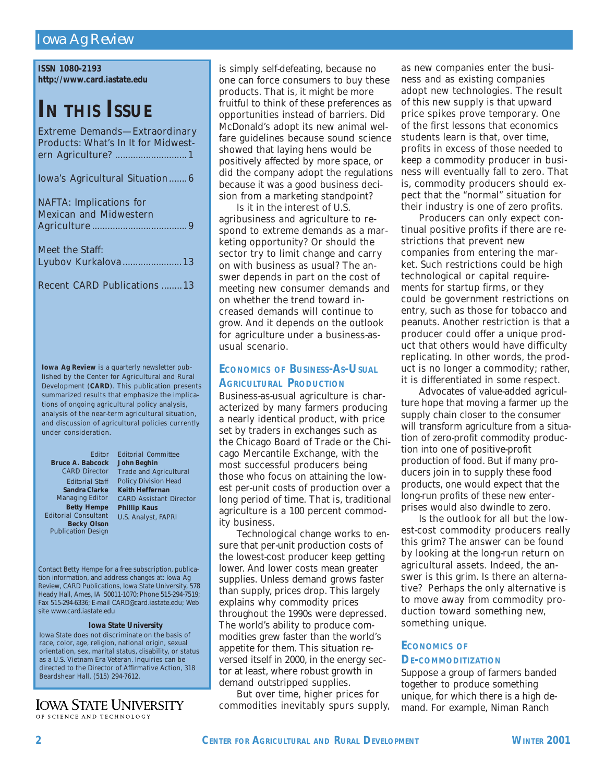## *Iowa Ag Review*

**ISSN 1080-2193 http://www.card.iastate.edu**

# **IN THIS ISSUE**

| Extreme Demands-Extraordinary              |  |
|--------------------------------------------|--|
| <b>Products: What's In It for Midwest-</b> |  |
|                                            |  |
| Iowa's Agricultural Situation6             |  |
| <b>NAFTA:</b> Implications for             |  |
| <b>Mexican and Midwestern</b>              |  |
|                                            |  |
| Meet the Staff:                            |  |
| Lyubov Kurkalova 13                        |  |

|  | <b>Recent CARD Publications 13</b> |  |
|--|------------------------------------|--|
|  |                                    |  |

*Iowa Ag Review* is a quarterly newsletter published by the Center for Agricultural and Rural Development (**CARD**). This publication presents summarized results that emphasize the implications of ongoing agricultural policy analysis, analysis of the near-term agricultural situation, and discussion of agricultural policies currently under consideration.

**Becky Olson** Publication Design *Editor* **Bruce A. Babcock John Beghin** CARD Director **Sandra Clarke** Managing Editor **Betty Hempe** Editorial Consultant

*Editorial Staff* Policy Division Head *Editorial Committee* Trade and Agricultural **Keith Heffernan** CARD Assistant Director **Phillip Kaus** U.S. Analyst, FAPRI

Contact Betty Hempe for a free subscription, publication information, and address changes at: *Iowa Ag Review*, CARD Publications, Iowa State University, 578 Heady Hall, Ames, IA 50011-1070; Phone 515-294-7519; Fax 515-294-6336; E-mail CARD@card.iastate.edu; Web site www.card.iastate.edu

#### **Iowa State University**

Iowa State does not discriminate on the basis of race, color, age, religion, national origin, sexual orientation, sex, marital status, disability, or status as a U.S. Vietnam Era Veteran. Inquiries can be directed to the Director of Affirmative Action, 318 Beardshear Hall, (515) 294-7612.

#### IOWA STATE UNIVERSITY OF SCIENCE AND TECHNOLOGY

is simply self-defeating, because no one can force consumers to buy these products. That is, it might be more fruitful to think of these preferences as opportunities instead of barriers. Did McDonald's adopt its new animal welfare guidelines because sound science showed that laying hens would be positively affected by more space, or did the company adopt the regulations because it was a good business decision from a marketing standpoint?

Is it in the interest of U.S. agribusiness and agriculture to respond to extreme demands as a marketing opportunity? Or should the sector try to limit change and carry on with business as usual? The answer depends in part on the cost of meeting new consumer demands and on whether the trend toward increased demands will continue to grow. And it depends on the outlook for agriculture under a business-asusual scenario.

## **ECONOMICS OF BUSINESS-AS-USUAL AGRICULTURAL PRODUCTION**

Business-as-usual agriculture is characterized by many farmers producing a nearly identical product, with price set by traders in exchanges such as the Chicago Board of Trade or the Chicago Mercantile Exchange, with the most successful producers being those who focus on attaining the lowest per-unit costs of production over a long period of time. That is, traditional agriculture is a 100 percent commodity business.

Technological change works to ensure that per-unit production costs of the lowest-cost producer keep getting lower. And lower costs mean greater supplies. Unless demand grows faster than supply, prices drop. This largely explains why commodity prices throughout the 1990s were depressed. The world's ability to produce commodities grew faster than the world's appetite for them. This situation reversed itself in 2000, in the energy sector at least, where robust growth in demand outstripped supplies.

But over time, higher prices for commodities inevitably spurs supply, as new companies enter the business and as existing companies adopt new technologies. The result of this new supply is that upward price spikes prove temporary. One of the first lessons that economics students learn is that, over time, profits in excess of those needed to keep a commodity producer in business will eventually fall to zero. That is, commodity producers should expect that the "normal" situation for their industry is one of zero profits.

Producers can only expect continual positive profits if there are restrictions that prevent new companies from entering the market. Such restrictions could be high technological or capital requirements for startup firms, or they could be government restrictions on entry, such as those for tobacco and peanuts. Another restriction is that a producer could offer a unique product that others would have difficulty replicating. In other words, the product is no longer a commodity; rather, it is differentiated in some respect.

Advocates of value-added agriculture hope that moving a farmer up the supply chain closer to the consumer will transform agriculture from a situation of zero-profit commodity production into one of positive-profit production of food. But if many producers join in to supply these food products, one would expect that the long-run profits of these new enterprises would also dwindle to zero.

Is the outlook for all but the lowest-cost commodity producers really this grim? The answer can be found by looking at the long-run return on agricultural assets. Indeed, the answer is this grim. Is there an alternative? Perhaps the only alternative is to move away from commodity production toward something new, something unique.

#### **ECONOMICS OF**

#### **DE-COMMODITIZATION**

Suppose a group of farmers banded together to produce something unique, for which there is a high demand. For example, Niman Ranch